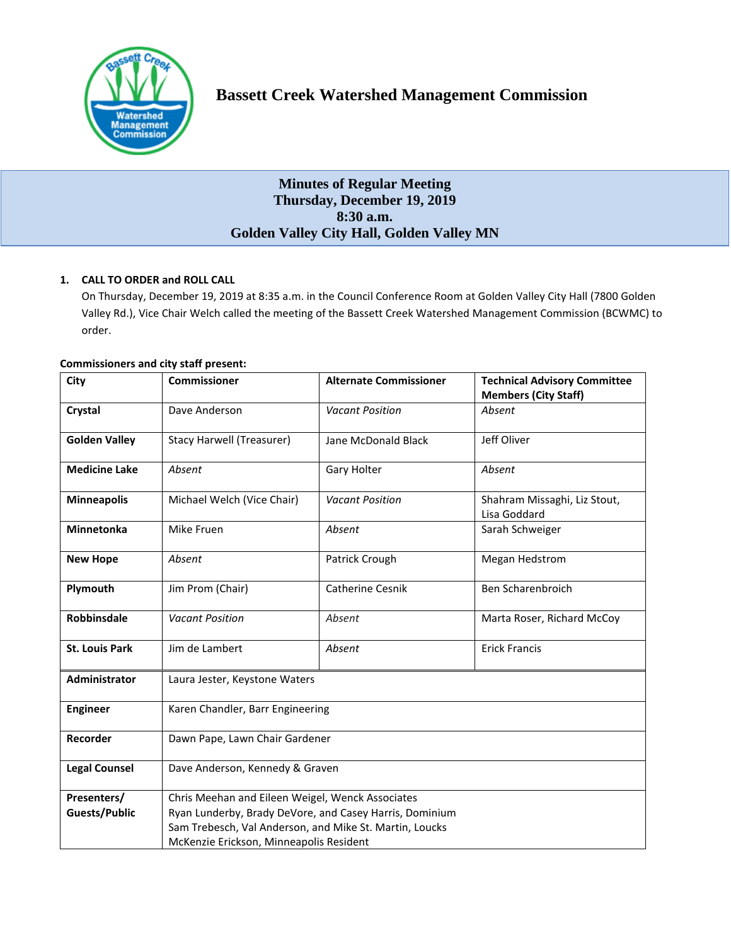

# **Minutes of Regular Meeting Thursday, December 19, 2019 8:30 a.m. Golden Valley City Hall, Golden Valley MN**

## **1. CALL TO ORDER and ROLL CALL**

On Thursday, December 19, 2019 at 8:35 a.m. in the Council Conference Room at Golden Valley City Hall (7800 Golden Valley Rd.), Vice Chair Welch called the meeting of the Bassett Creek Watershed Management Commission (BCWMC) to order.

| <b>Commissioners and city staff present:</b> |  |  |  |  |
|----------------------------------------------|--|--|--|--|
|----------------------------------------------|--|--|--|--|

| City                  | <b>Commissioner</b>                                     | <b>Alternate Commissioner</b> | <b>Technical Advisory Committee</b><br><b>Members (City Staff)</b> |  |  |
|-----------------------|---------------------------------------------------------|-------------------------------|--------------------------------------------------------------------|--|--|
| Crystal               | Dave Anderson                                           | <b>Vacant Position</b>        | Absent                                                             |  |  |
| <b>Golden Valley</b>  | <b>Stacy Harwell (Treasurer)</b>                        | Jane McDonald Black           | Jeff Oliver                                                        |  |  |
| <b>Medicine Lake</b>  | Absent                                                  | <b>Gary Holter</b>            | Absent                                                             |  |  |
| <b>Minneapolis</b>    | Michael Welch (Vice Chair)                              | <b>Vacant Position</b>        | Shahram Missaghi, Liz Stout,<br>Lisa Goddard                       |  |  |
| <b>Minnetonka</b>     | Mike Fruen                                              | Absent                        | Sarah Schweiger                                                    |  |  |
| <b>New Hope</b>       | Absent                                                  | Patrick Crough                | Megan Hedstrom                                                     |  |  |
| Plymouth              | Jim Prom (Chair)                                        | Catherine Cesnik              | Ben Scharenbroich                                                  |  |  |
| <b>Robbinsdale</b>    | <b>Vacant Position</b>                                  | Absent                        | Marta Roser, Richard McCoy                                         |  |  |
| <b>St. Louis Park</b> | Jim de Lambert                                          | Absent                        | <b>Erick Francis</b>                                               |  |  |
| Administrator         | Laura Jester, Keystone Waters                           |                               |                                                                    |  |  |
| <b>Engineer</b>       | Karen Chandler, Barr Engineering                        |                               |                                                                    |  |  |
| Recorder              | Dawn Pape, Lawn Chair Gardener                          |                               |                                                                    |  |  |
| <b>Legal Counsel</b>  | Dave Anderson, Kennedy & Graven                         |                               |                                                                    |  |  |
| Presenters/           | Chris Meehan and Eileen Weigel, Wenck Associates        |                               |                                                                    |  |  |
| <b>Guests/Public</b>  | Ryan Lunderby, Brady DeVore, and Casey Harris, Dominium |                               |                                                                    |  |  |
|                       | Sam Trebesch, Val Anderson, and Mike St. Martin, Loucks |                               |                                                                    |  |  |
|                       | McKenzie Erickson, Minneapolis Resident                 |                               |                                                                    |  |  |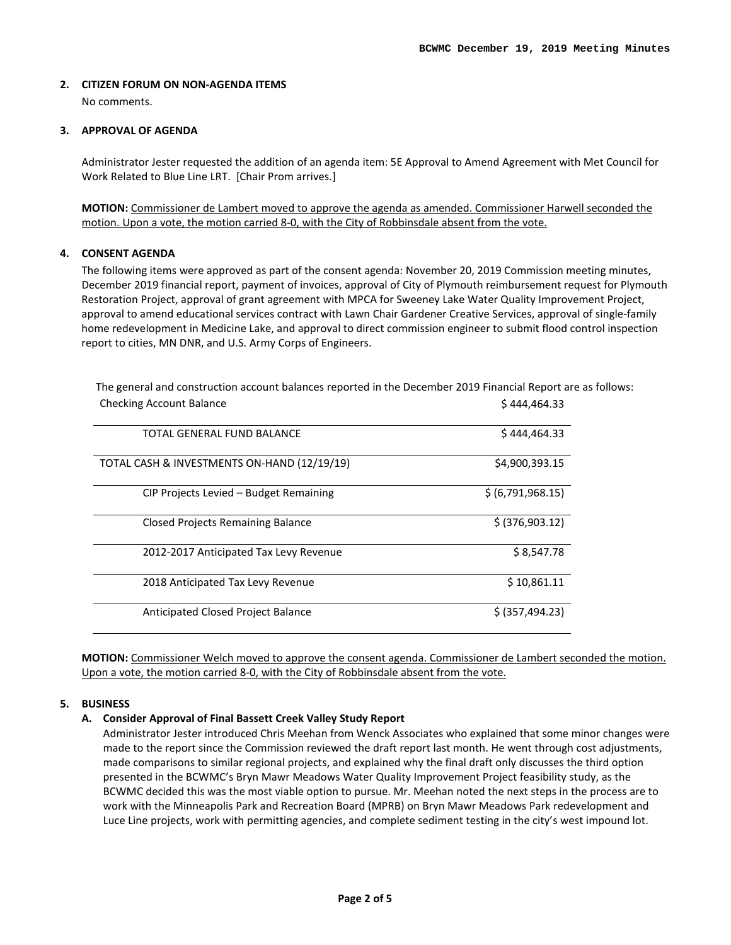### **2. CITIZEN FORUM ON NON-AGENDA ITEMS**

No comments.

#### **3. APPROVAL OF AGENDA**

Administrator Jester requested the addition of an agenda item: 5E Approval to Amend Agreement with Met Council for Work Related to Blue Line LRT. [Chair Prom arrives.]

**MOTION:** Commissioner de Lambert moved to approve the agenda as amended. Commissioner Harwell seconded the motion. Upon a vote, the motion carried 8-0, with the City of Robbinsdale absent from the vote.

#### **4. CONSENT AGENDA**

The following items were approved as part of the consent agenda: November 20, 2019 Commission meeting minutes, December 2019 financial report, payment of invoices, approval of City of Plymouth reimbursement request for Plymouth Restoration Project, approval of grant agreement with MPCA for Sweeney Lake Water Quality Improvement Project, approval to amend educational services contract with Lawn Chair Gardener Creative Services, approval of single-family home redevelopment in Medicine Lake, and approval to direct commission engineer to submit flood control inspection report to cities, MN DNR, and U.S. Army Corps of Engineers.

| CHECKING ACCOUNT DAIRING                    | 3 444,404.33      |
|---------------------------------------------|-------------------|
| TOTAL GENERAL FUND BALANCE                  | \$444,464.33      |
| TOTAL CASH & INVESTMENTS ON-HAND (12/19/19) | \$4,900,393.15    |
| CIP Projects Levied - Budget Remaining      | \$ (6,791,968.15) |
| <b>Closed Projects Remaining Balance</b>    | \$ (376,903.12)   |
| 2012-2017 Anticipated Tax Levy Revenue      | \$8,547.78        |
| 2018 Anticipated Tax Levy Revenue           | \$10,861.11       |
| Anticipated Closed Project Balance          | \$ (357, 494.23)  |

The general and construction account balances reported in the December 2019 Financial Report are as follows:  $\frac{1}{4}$ Checking Account Balance

**MOTION:** Commissioner Welch moved to approve the consent agenda. Commissioner de Lambert seconded the motion. Upon a vote, the motion carried 8-0, with the City of Robbinsdale absent from the vote.

### **5. BUSINESS**

## **A. Consider Approval of Final Bassett Creek Valley Study Report**

Administrator Jester introduced Chris Meehan from Wenck Associates who explained that some minor changes were made to the report since the Commission reviewed the draft report last month. He went through cost adjustments, made comparisons to similar regional projects, and explained why the final draft only discusses the third option presented in the BCWMC's Bryn Mawr Meadows Water Quality Improvement Project feasibility study, as the BCWMC decided this was the most viable option to pursue. Mr. Meehan noted the next steps in the process are to work with the Minneapolis Park and Recreation Board (MPRB) on Bryn Mawr Meadows Park redevelopment and Luce Line projects, work with permitting agencies, and complete sediment testing in the city's west impound lot.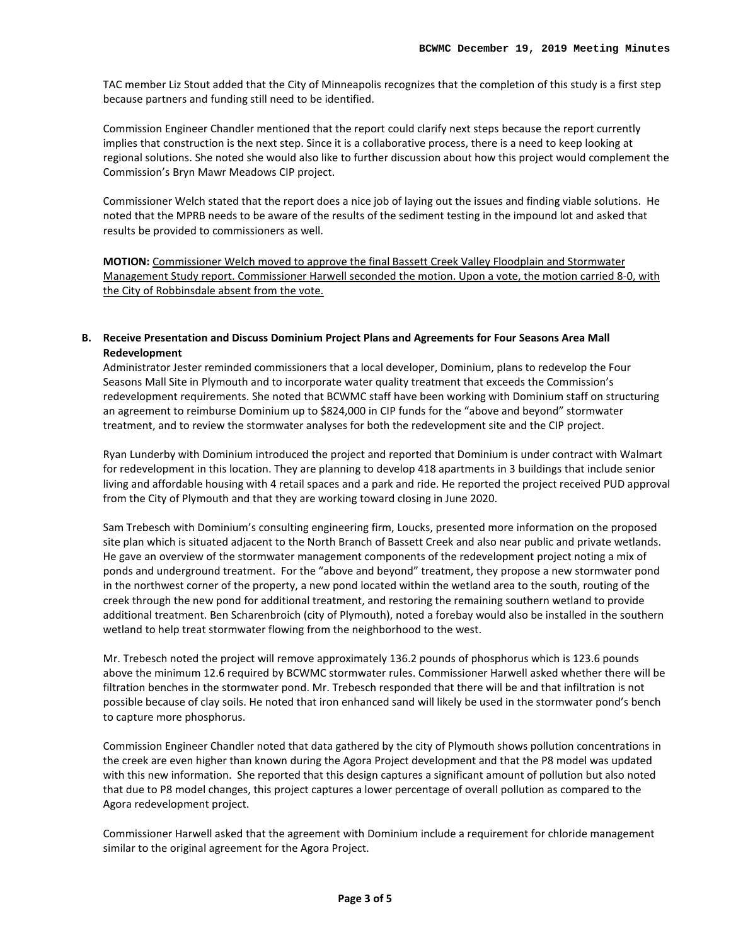TAC member Liz Stout added that the City of Minneapolis recognizes that the completion of this study is a first step because partners and funding still need to be identified.

Commission Engineer Chandler mentioned that the report could clarify next steps because the report currently implies that construction is the next step. Since it is a collaborative process, there is a need to keep looking at regional solutions. She noted she would also like to further discussion about how this project would complement the Commission's Bryn Mawr Meadows CIP project.

Commissioner Welch stated that the report does a nice job of laying out the issues and finding viable solutions. He noted that the MPRB needs to be aware of the results of the sediment testing in the impound lot and asked that results be provided to commissioners as well.

**MOTION:** Commissioner Welch moved to approve the final Bassett Creek Valley Floodplain and Stormwater Management Study report. Commissioner Harwell seconded the motion. Upon a vote, the motion carried 8-0, with the City of Robbinsdale absent from the vote.

**B. Receive Presentation and Discuss Dominium Project Plans and Agreements for Four Seasons Area Mall Redevelopment**

Administrator Jester reminded commissioners that a local developer, Dominium, plans to redevelop the Four Seasons Mall Site in Plymouth and to incorporate water quality treatment that exceeds the Commission's redevelopment requirements. She noted that BCWMC staff have been working with Dominium staff on structuring an agreement to reimburse Dominium up to \$824,000 in CIP funds for the "above and beyond" stormwater treatment, and to review the stormwater analyses for both the redevelopment site and the CIP project.

Ryan Lunderby with Dominium introduced the project and reported that Dominium is under contract with Walmart for redevelopment in this location. They are planning to develop 418 apartments in 3 buildings that include senior living and affordable housing with 4 retail spaces and a park and ride. He reported the project received PUD approval from the City of Plymouth and that they are working toward closing in June 2020.

Sam Trebesch with Dominium's consulting engineering firm, Loucks, presented more information on the proposed site plan which is situated adjacent to the North Branch of Bassett Creek and also near public and private wetlands. He gave an overview of the stormwater management components of the redevelopment project noting a mix of ponds and underground treatment. For the "above and beyond" treatment, they propose a new stormwater pond in the northwest corner of the property, a new pond located within the wetland area to the south, routing of the creek through the new pond for additional treatment, and restoring the remaining southern wetland to provide additional treatment. Ben Scharenbroich (city of Plymouth), noted a forebay would also be installed in the southern wetland to help treat stormwater flowing from the neighborhood to the west.

Mr. Trebesch noted the project will remove approximately 136.2 pounds of phosphorus which is 123.6 pounds above the minimum 12.6 required by BCWMC stormwater rules. Commissioner Harwell asked whether there will be filtration benches in the stormwater pond. Mr. Trebesch responded that there will be and that infiltration is not possible because of clay soils. He noted that iron enhanced sand will likely be used in the stormwater pond's bench to capture more phosphorus.

Commission Engineer Chandler noted that data gathered by the city of Plymouth shows pollution concentrations in the creek are even higher than known during the Agora Project development and that the P8 model was updated with this new information. She reported that this design captures a significant amount of pollution but also noted that due to P8 model changes, this project captures a lower percentage of overall pollution as compared to the Agora redevelopment project.

Commissioner Harwell asked that the agreement with Dominium include a requirement for chloride management similar to the original agreement for the Agora Project.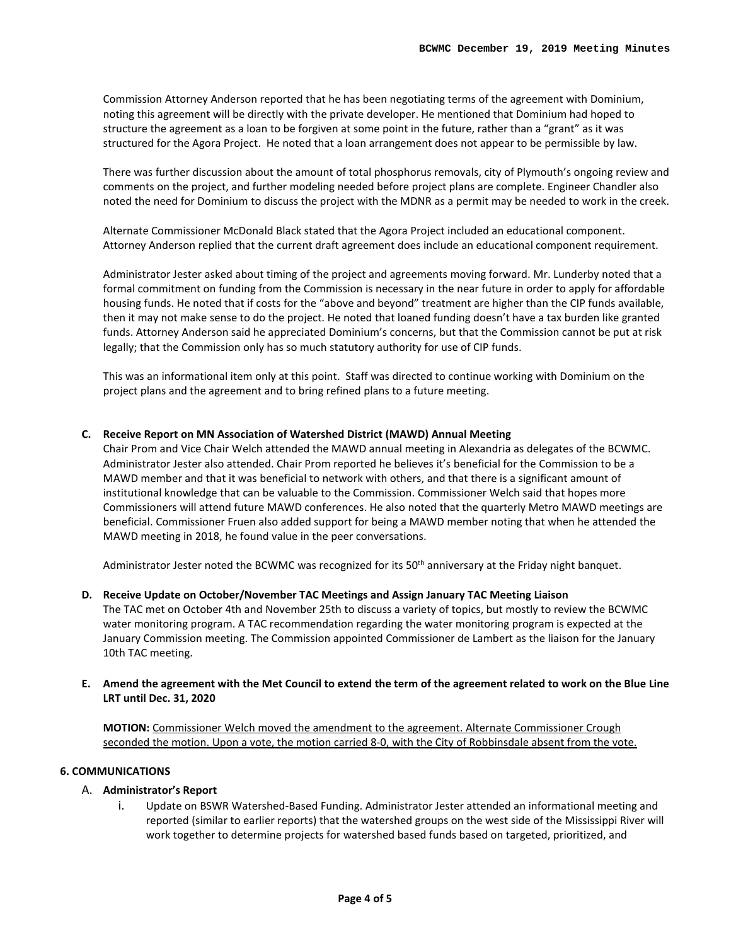Commission Attorney Anderson reported that he has been negotiating terms of the agreement with Dominium, noting this agreement will be directly with the private developer. He mentioned that Dominium had hoped to structure the agreement as a loan to be forgiven at some point in the future, rather than a "grant" as it was structured for the Agora Project. He noted that a loan arrangement does not appear to be permissible by law.

There was further discussion about the amount of total phosphorus removals, city of Plymouth's ongoing review and comments on the project, and further modeling needed before project plans are complete. Engineer Chandler also noted the need for Dominium to discuss the project with the MDNR as a permit may be needed to work in the creek.

Alternate Commissioner McDonald Black stated that the Agora Project included an educational component. Attorney Anderson replied that the current draft agreement does include an educational component requirement.

Administrator Jester asked about timing of the project and agreements moving forward. Mr. Lunderby noted that a formal commitment on funding from the Commission is necessary in the near future in order to apply for affordable housing funds. He noted that if costs for the "above and beyond" treatment are higher than the CIP funds available, then it may not make sense to do the project. He noted that loaned funding doesn't have a tax burden like granted funds. Attorney Anderson said he appreciated Dominium's concerns, but that the Commission cannot be put at risk legally; that the Commission only has so much statutory authority for use of CIP funds.

This was an informational item only at this point. Staff was directed to continue working with Dominium on the project plans and the agreement and to bring refined plans to a future meeting.

#### **C. Receive Report on MN Association of Watershed District (MAWD) Annual Meeting**

Chair Prom and Vice Chair Welch attended the MAWD annual meeting in Alexandria as delegates of the BCWMC. Administrator Jester also attended. Chair Prom reported he believes it's beneficial for the Commission to be a MAWD member and that it was beneficial to network with others, and that there is a significant amount of institutional knowledge that can be valuable to the Commission. Commissioner Welch said that hopes more Commissioners will attend future MAWD conferences. He also noted that the quarterly Metro MAWD meetings are beneficial. Commissioner Fruen also added support for being a MAWD member noting that when he attended the MAWD meeting in 2018, he found value in the peer conversations.

Administrator Jester noted the BCWMC was recognized for its  $50<sup>th</sup>$  anniversary at the Friday night banquet.

**D. Receive Update on October/November TAC Meetings and Assign January TAC Meeting Liaison** The TAC met on October 4th and November 25th to discuss a variety of topics, but mostly to review the BCWMC water monitoring program. A TAC recommendation regarding the water monitoring program is expected at the January Commission meeting. The Commission appointed Commissioner de Lambert as the liaison for the January 10th TAC meeting.

#### **E. Amend the agreement with the Met Council to extend the term of the agreement related to work on the Blue Line LRT until Dec. 31, 2020**

**MOTION:** Commissioner Welch moved the amendment to the agreement. Alternate Commissioner Crough seconded the motion. Upon a vote, the motion carried 8-0, with the City of Robbinsdale absent from the vote.

#### **6. COMMUNICATIONS**

#### A. **Administrator's Report**

i. Update on BSWR Watershed-Based Funding. Administrator Jester attended an informational meeting and reported (similar to earlier reports) that the watershed groups on the west side of the Mississippi River will work together to determine projects for watershed based funds based on targeted, prioritized, and